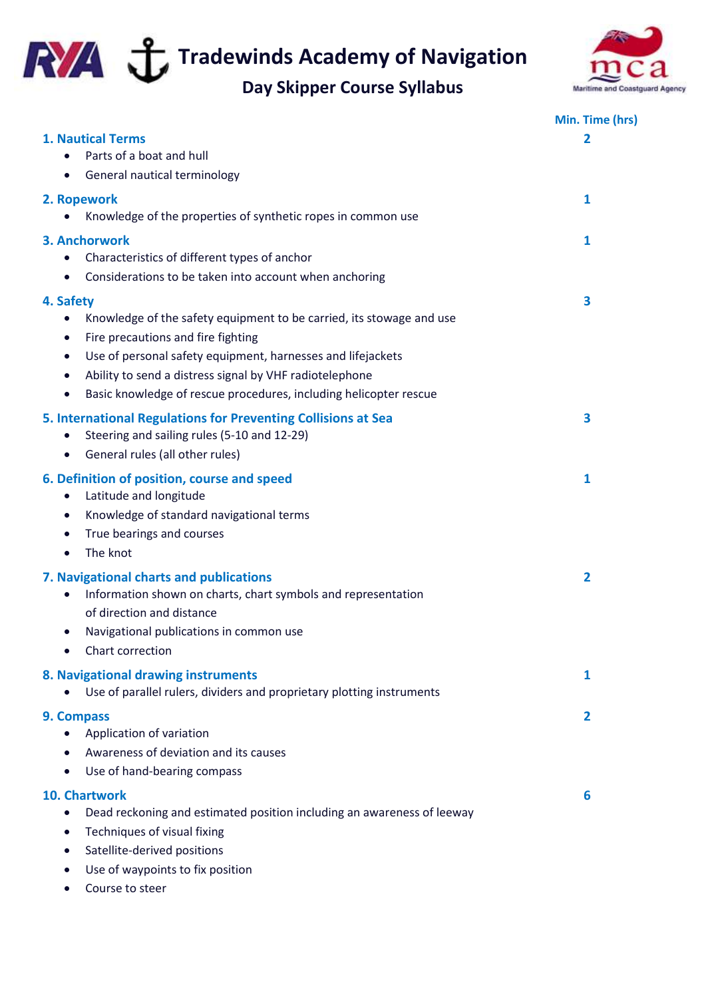

**Tradewinds Academy of Navigation** 

## **Day Skipper Course Syllabus**



|                                                                                     | Min. Time (hrs) |
|-------------------------------------------------------------------------------------|-----------------|
| 1. Nautical Terms                                                                   | 2               |
| Parts of a boat and hull                                                            |                 |
| General nautical terminology<br>$\bullet$                                           |                 |
| 2. Ropework                                                                         | 1               |
| Knowledge of the properties of synthetic ropes in common use                        |                 |
| 3. Anchorwork                                                                       | 1               |
| Characteristics of different types of anchor                                        |                 |
| Considerations to be taken into account when anchoring<br>$\bullet$                 |                 |
| 4. Safety                                                                           | 3               |
| Knowledge of the safety equipment to be carried, its stowage and use<br>$\bullet$   |                 |
| Fire precautions and fire fighting<br>$\bullet$                                     |                 |
| Use of personal safety equipment, harnesses and lifejackets<br>$\bullet$            |                 |
| Ability to send a distress signal by VHF radiotelephone<br>$\bullet$                |                 |
| Basic knowledge of rescue procedures, including helicopter rescue<br>$\bullet$      |                 |
| 5. International Regulations for Preventing Collisions at Sea                       | 3               |
| Steering and sailing rules (5-10 and 12-29)<br>$\bullet$                            |                 |
| General rules (all other rules)<br>$\bullet$                                        |                 |
| 6. Definition of position, course and speed                                         | 1               |
| Latitude and longitude<br>$\bullet$                                                 |                 |
| Knowledge of standard navigational terms<br>$\bullet$                               |                 |
| True bearings and courses<br>$\bullet$                                              |                 |
| The knot<br>$\bullet$                                                               |                 |
| 7. Navigational charts and publications                                             | $\overline{2}$  |
| Information shown on charts, chart symbols and representation<br>$\bullet$          |                 |
| of direction and distance                                                           |                 |
| Navigational publications in common use<br>$\bullet$                                |                 |
| Chart correction<br>$\bullet$                                                       |                 |
| 8. Navigational drawing instruments                                                 | 1               |
| Use of parallel rulers, dividers and proprietary plotting instruments               |                 |
| 9. Compass                                                                          | 2               |
| Application of variation                                                            |                 |
| Awareness of deviation and its causes                                               |                 |
| Use of hand-bearing compass<br>$\bullet$                                            |                 |
| 10. Chartwork                                                                       | 6               |
| Dead reckoning and estimated position including an awareness of leeway<br>$\bullet$ |                 |
| Techniques of visual fixing<br>$\bullet$                                            |                 |
| Satellite-derived positions<br>$\bullet$                                            |                 |
| Use of waypoints to fix position                                                    |                 |
| Course to steer<br>$\bullet$                                                        |                 |